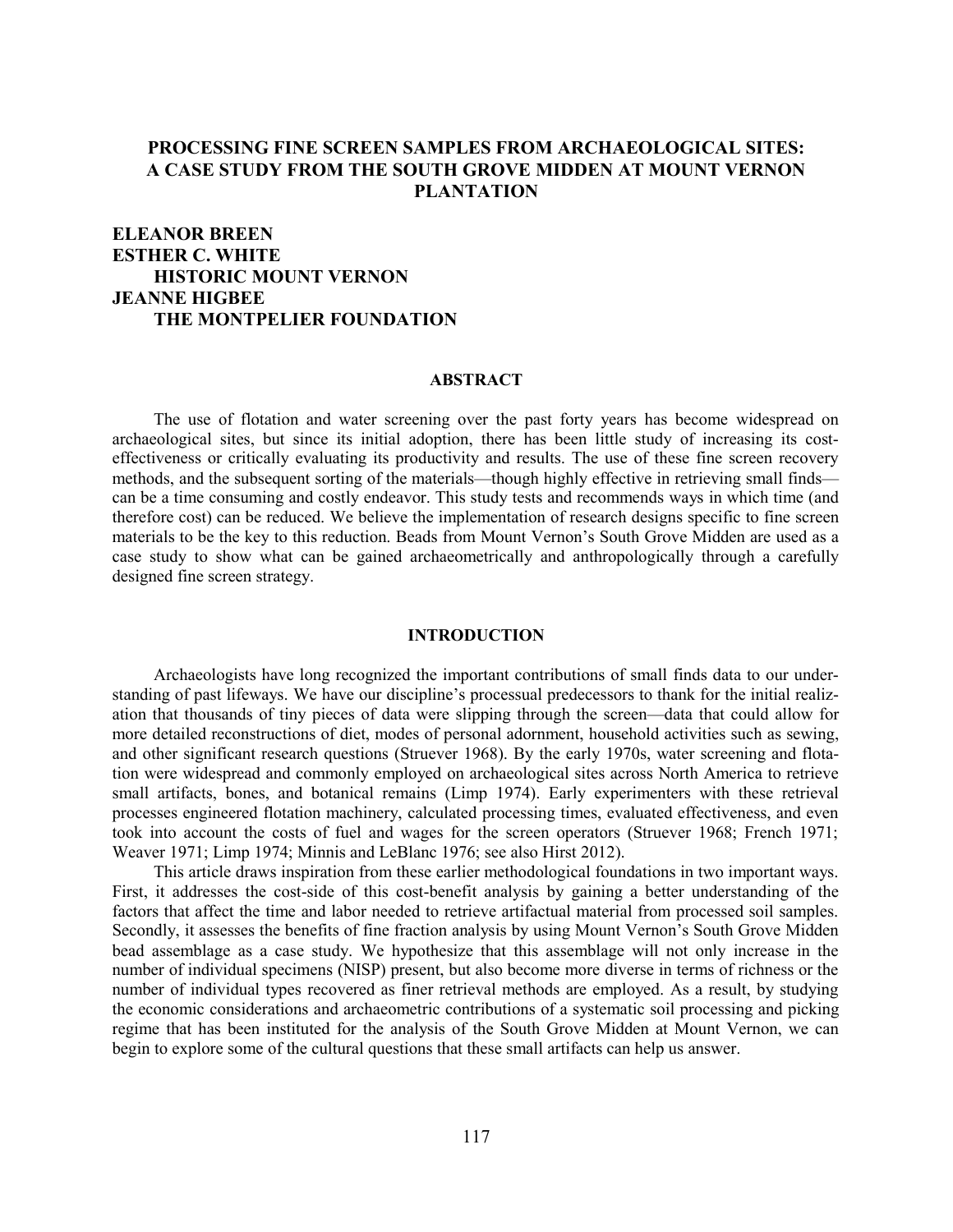# **PROCESSING FINE SCREEN SAMPLES FROM ARCHAEOLOGICAL SITES: A CASE STUDY FROM THE SOUTH GROVE MIDDEN AT MOUNT VERNON PLANTATION**

# **ELEANOR BREEN ESTHER C. WHITE HISTORIC MOUNT VERNON JEANNE HIGBEE THE MONTPELIER FOUNDATION**

#### **ABSTRACT**

The use of flotation and water screening over the past forty years has become widespread on archaeological sites, but since its initial adoption, there has been little study of increasing its costeffectiveness or critically evaluating its productivity and results. The use of these fine screen recovery methods, and the subsequent sorting of the materials—though highly effective in retrieving small finds can be a time consuming and costly endeavor. This study tests and recommends ways in which time (and therefore cost) can be reduced. We believe the implementation of research designs specific to fine screen materials to be the key to this reduction. Beads from Mount Vernon's South Grove Midden are used as a case study to show what can be gained archaeometrically and anthropologically through a carefully designed fine screen strategy.

#### **INTRODUCTION**

Archaeologists have long recognized the important contributions of small finds data to our understanding of past lifeways. We have our discipline's processual predecessors to thank for the initial realization that thousands of tiny pieces of data were slipping through the screen—data that could allow for more detailed reconstructions of diet, modes of personal adornment, household activities such as sewing, and other significant research questions (Struever 1968). By the early 1970s, water screening and flotation were widespread and commonly employed on archaeological sites across North America to retrieve small artifacts, bones, and botanical remains (Limp 1974). Early experimenters with these retrieval processes engineered flotation machinery, calculated processing times, evaluated effectiveness, and even took into account the costs of fuel and wages for the screen operators (Struever 1968; French 1971; Weaver 1971; Limp 1974; Minnis and LeBlanc 1976; see also Hirst 2012).

This article draws inspiration from these earlier methodological foundations in two important ways. First, it addresses the cost-side of this cost-benefit analysis by gaining a better understanding of the factors that affect the time and labor needed to retrieve artifactual material from processed soil samples. Secondly, it assesses the benefits of fine fraction analysis by using Mount Vernon's South Grove Midden bead assemblage as a case study. We hypothesize that this assemblage will not only increase in the number of individual specimens (NISP) present, but also become more diverse in terms of richness or the number of individual types recovered as finer retrieval methods are employed. As a result, by studying the economic considerations and archaeometric contributions of a systematic soil processing and picking regime that has been instituted for the analysis of the South Grove Midden at Mount Vernon, we can begin to explore some of the cultural questions that these small artifacts can help us answer.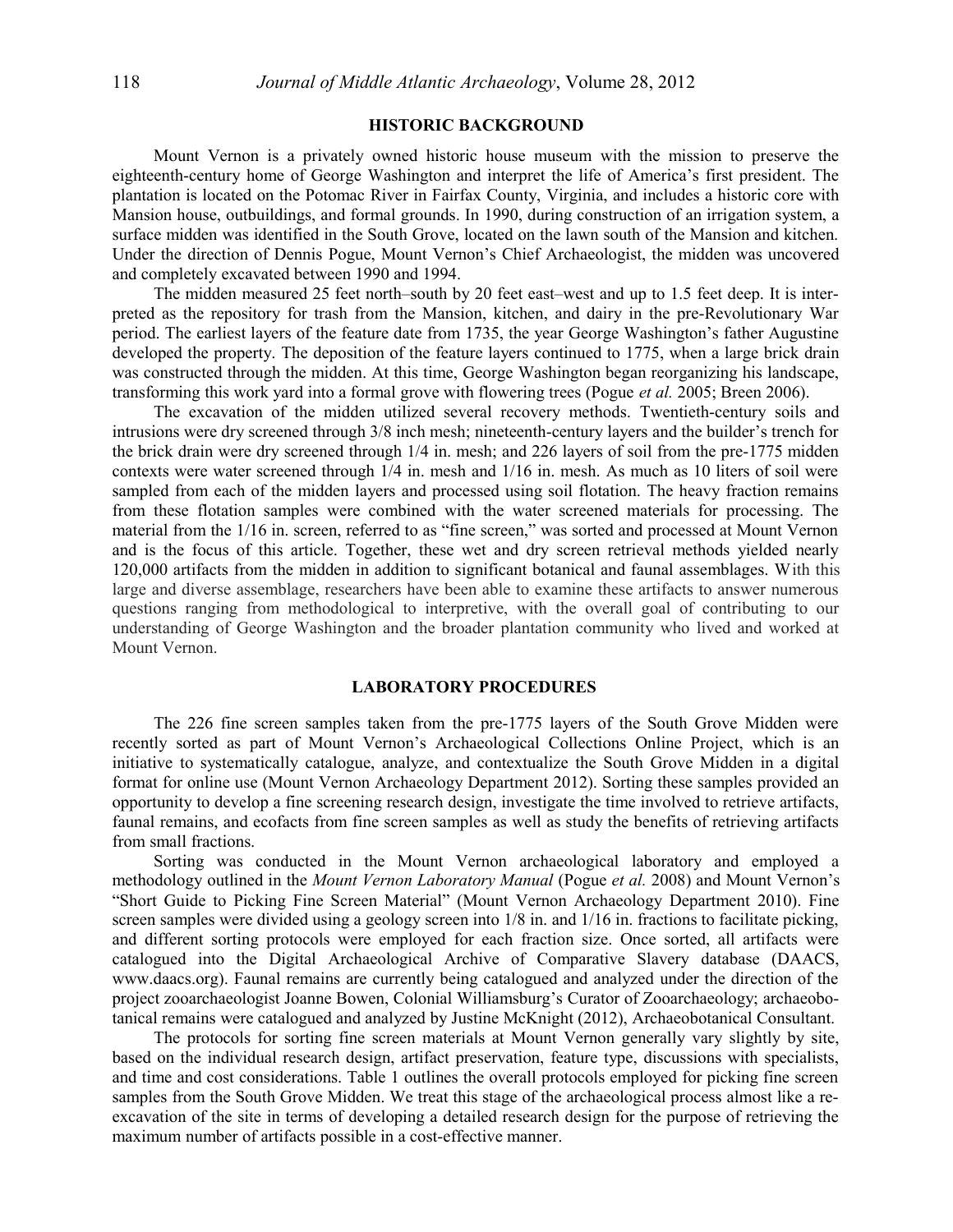## **HISTORIC BACKGROUND**

Mount Vernon is a privately owned historic house museum with the mission to preserve the eighteenth-century home of George Washington and interpret the life of America's first president. The plantation is located on the Potomac River in Fairfax County, Virginia, and includes a historic core with Mansion house, outbuildings, and formal grounds. In 1990, during construction of an irrigation system, a surface midden was identified in the South Grove, located on the lawn south of the Mansion and kitchen. Under the direction of Dennis Pogue, Mount Vernon's Chief Archaeologist, the midden was uncovered and completely excavated between 1990 and 1994.

The midden measured 25 feet north–south by 20 feet east–west and up to 1.5 feet deep. It is interpreted as the repository for trash from the Mansion, kitchen, and dairy in the pre-Revolutionary War period. The earliest layers of the feature date from 1735, the year George Washington's father Augustine developed the property. The deposition of the feature layers continued to 1775, when a large brick drain was constructed through the midden. At this time, George Washington began reorganizing his landscape, transforming this work yard into a formal grove with flowering trees (Pogue *et al.* 2005; Breen 2006).

The excavation of the midden utilized several recovery methods. Twentieth-century soils and intrusions were dry screened through 3/8 inch mesh; nineteenth-century layers and the builder's trench for the brick drain were dry screened through 1/4 in. mesh; and 226 layers of soil from the pre-1775 midden contexts were water screened through 1/4 in. mesh and 1/16 in. mesh. As much as 10 liters of soil were sampled from each of the midden layers and processed using soil flotation. The heavy fraction remains from these flotation samples were combined with the water screened materials for processing. The material from the 1/16 in. screen, referred to as "fine screen," was sorted and processed at Mount Vernon and is the focus of this article. Together, these wet and dry screen retrieval methods yielded nearly 120,000 artifacts from the midden in addition to significant botanical and faunal assemblages. With this large and diverse assemblage, researchers have been able to examine these artifacts to answer numerous questions ranging from methodological to interpretive, with the overall goal of contributing to our understanding of George Washington and the broader plantation community who lived and worked at Mount Vernon.

### **LABORATORY PROCEDURES**

The 226 fine screen samples taken from the pre-1775 layers of the South Grove Midden were recently sorted as part of Mount Vernon's Archaeological Collections Online Project, which is an initiative to systematically catalogue, analyze, and contextualize the South Grove Midden in a digital format for online use (Mount Vernon Archaeology Department 2012). Sorting these samples provided an opportunity to develop a fine screening research design, investigate the time involved to retrieve artifacts, faunal remains, and ecofacts from fine screen samples as well as study the benefits of retrieving artifacts from small fractions.

Sorting was conducted in the Mount Vernon archaeological laboratory and employed a methodology outlined in the *Mount Vernon Laboratory Manual* (Pogue *et al.* 2008) and Mount Vernon's "Short Guide to Picking Fine Screen Material" (Mount Vernon Archaeology Department 2010). Fine screen samples were divided using a geology screen into 1/8 in. and 1/16 in. fractions to facilitate picking, and different sorting protocols were employed for each fraction size. Once sorted, all artifacts were catalogued into the Digital Archaeological Archive of Comparative Slavery database (DAACS, www.daacs.org). Faunal remains are currently being catalogued and analyzed under the direction of the project zooarchaeologist Joanne Bowen, Colonial Williamsburg's Curator of Zooarchaeology; archaeobotanical remains were catalogued and analyzed by Justine McKnight (2012), Archaeobotanical Consultant.

The protocols for sorting fine screen materials at Mount Vernon generally vary slightly by site, based on the individual research design, artifact preservation, feature type, discussions with specialists, and time and cost considerations. Table 1 outlines the overall protocols employed for picking fine screen samples from the South Grove Midden. We treat this stage of the archaeological process almost like a reexcavation of the site in terms of developing a detailed research design for the purpose of retrieving the maximum number of artifacts possible in a cost-effective manner.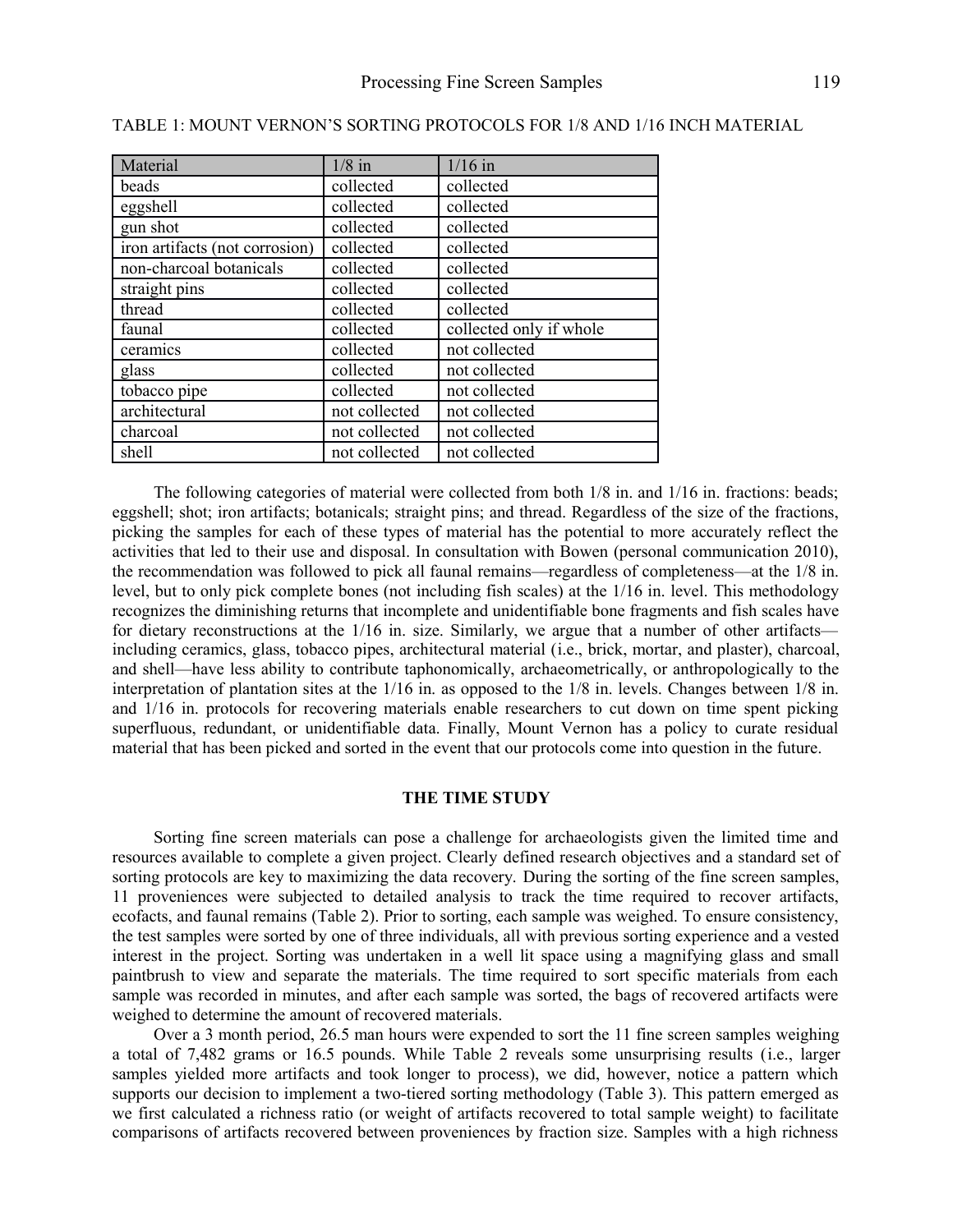| Material                       | $1/8$ in      | $1/16$ in               |
|--------------------------------|---------------|-------------------------|
| beads                          | collected     | collected               |
| eggshell                       | collected     | collected               |
| gun shot                       | collected     | collected               |
| iron artifacts (not corrosion) | collected     | collected               |
| non-charcoal botanicals        | collected     | collected               |
| straight pins                  | collected     | collected               |
| thread                         | collected     | collected               |
| faunal                         | collected     | collected only if whole |
| ceramics                       | collected     | not collected           |
| glass                          | collected     | not collected           |
| tobacco pipe                   | collected     | not collected           |
| architectural                  | not collected | not collected           |
| charcoal                       | not collected | not collected           |
| shell                          | not collected | not collected           |

TABLE 1: MOUNT VERNON'S SORTING PROTOCOLS FOR 1/8 AND 1/16 INCH MATERIAL

The following categories of material were collected from both 1/8 in. and 1/16 in. fractions: beads; eggshell; shot; iron artifacts; botanicals; straight pins; and thread. Regardless of the size of the fractions, picking the samples for each of these types of material has the potential to more accurately reflect the activities that led to their use and disposal. In consultation with Bowen (personal communication 2010), the recommendation was followed to pick all faunal remains—regardless of completeness—at the 1/8 in. level, but to only pick complete bones (not including fish scales) at the 1/16 in. level. This methodology recognizes the diminishing returns that incomplete and unidentifiable bone fragments and fish scales have for dietary reconstructions at the 1/16 in. size. Similarly, we argue that a number of other artifacts including ceramics, glass, tobacco pipes, architectural material (i.e., brick, mortar, and plaster), charcoal, and shell—have less ability to contribute taphonomically, archaeometrically, or anthropologically to the interpretation of plantation sites at the 1/16 in. as opposed to the 1/8 in. levels. Changes between 1/8 in. and 1/16 in. protocols for recovering materials enable researchers to cut down on time spent picking superfluous, redundant, or unidentifiable data. Finally, Mount Vernon has a policy to curate residual material that has been picked and sorted in the event that our protocols come into question in the future.

#### **THE TIME STUDY**

Sorting fine screen materials can pose a challenge for archaeologists given the limited time and resources available to complete a given project. Clearly defined research objectives and a standard set of sorting protocols are key to maximizing the data recovery. During the sorting of the fine screen samples, 11 proveniences were subjected to detailed analysis to track the time required to recover artifacts, ecofacts, and faunal remains (Table 2). Prior to sorting, each sample was weighed. To ensure consistency, the test samples were sorted by one of three individuals, all with previous sorting experience and a vested interest in the project. Sorting was undertaken in a well lit space using a magnifying glass and small paintbrush to view and separate the materials. The time required to sort specific materials from each sample was recorded in minutes, and after each sample was sorted, the bags of recovered artifacts were weighed to determine the amount of recovered materials.

Over a 3 month period, 26.5 man hours were expended to sort the 11 fine screen samples weighing a total of 7,482 grams or 16.5 pounds. While Table 2 reveals some unsurprising results (i.e., larger samples yielded more artifacts and took longer to process), we did, however, notice a pattern which supports our decision to implement a two-tiered sorting methodology (Table 3). This pattern emerged as we first calculated a richness ratio (or weight of artifacts recovered to total sample weight) to facilitate comparisons of artifacts recovered between proveniences by fraction size. Samples with a high richness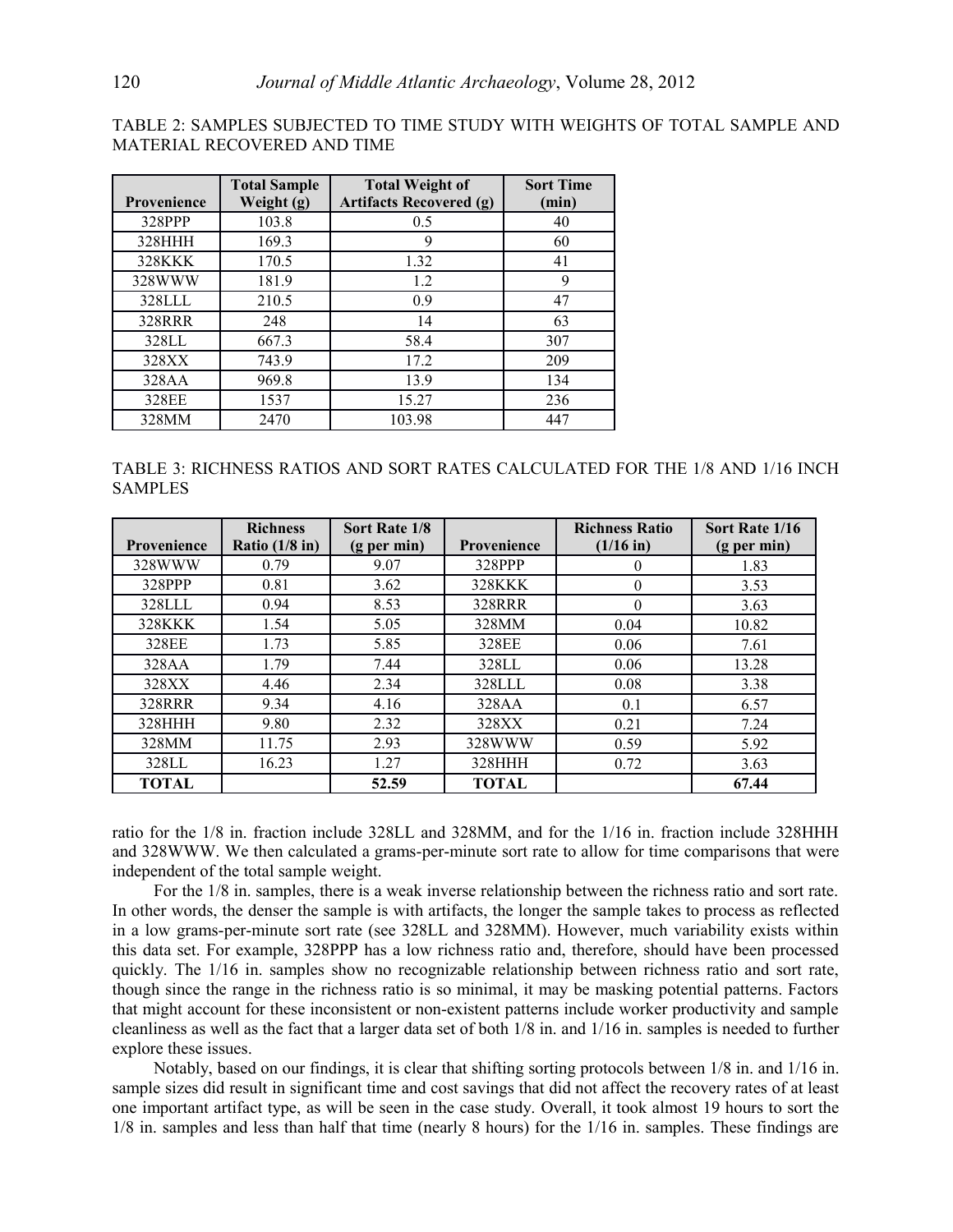TABLE 2: SAMPLES SUBJECTED TO TIME STUDY WITH WEIGHTS OF TOTAL SAMPLE AND MATERIAL RECOVERED AND TIME

|                    | <b>Total Sample</b> | <b>Total Weight of</b>         | <b>Sort Time</b> |
|--------------------|---------------------|--------------------------------|------------------|
| <b>Provenience</b> | Weight (g)          | <b>Artifacts Recovered (g)</b> | (min)            |
| 328PPP             | 103.8               | 0.5                            | 40               |
| 328HHH             | 169.3               | 9                              | 60               |
| 328KKK             | 170.5               | 1.32                           | 41               |
| 328WWW             | 181.9               | 1.2                            | 9                |
| 328LLL             | 210.5               | 0.9                            | 47               |
| 328RRR             | 248                 | 14                             | 63               |
| 328LL              | 667.3               | 58.4                           | 307              |
| 328XX              | 743.9               | 17.2                           | 209              |
| 328AA              | 969.8               | 13.9                           | 134              |
| 328EE              | 1537                | 15.27                          | 236              |
| 328MM              | 2470                | 103.98                         | 447              |

TABLE 3: RICHNESS RATIOS AND SORT RATES CALCULATED FOR THE 1/8 AND 1/16 INCH SAMPLES

| <b>Provenience</b> | <b>Richness</b><br>Ratio $(1/8$ in) | Sort Rate 1/8<br>$(g$ per min) | <b>Provenience</b> | <b>Richness Ratio</b><br>$(1/16$ in) | Sort Rate 1/16<br>(g per min) |
|--------------------|-------------------------------------|--------------------------------|--------------------|--------------------------------------|-------------------------------|
| 328WWW             | 0.79                                | 9.07                           | 328PPP             | 0                                    | 1.83                          |
| 328PPP             | 0.81                                | 3.62                           | <b>328KKK</b>      | $\theta$                             | 3.53                          |
| 328LLL             | 0.94                                | 8.53                           | 328RRR             | $\theta$                             | 3.63                          |
| <b>328KKK</b>      | 1.54                                | 5.05                           | 328MM              | 0.04                                 | 10.82                         |
| 328EE              | 1.73                                | 5.85                           | 328EE              | 0.06                                 | 7.61                          |
| 328AA              | 1.79                                | 7.44                           | 328LL              | 0.06                                 | 13.28                         |
| 328XX              | 4.46                                | 2.34                           | 328LLL             | 0.08                                 | 3.38                          |
| 328RRR             | 9.34                                | 4.16                           | 328AA              | 0.1                                  | 6.57                          |
| 328HHH             | 9.80                                | 2.32                           | 328XX              | 0.21                                 | 7.24                          |
| 328MM              | 11.75                               | 2.93                           | 328WWW             | 0.59                                 | 5.92                          |
| 328LL              | 16.23                               | 1.27                           | 328HHH             | 0.72                                 | 3.63                          |
| <b>TOTAL</b>       |                                     | 52.59                          | <b>TOTAL</b>       |                                      | 67.44                         |

ratio for the 1/8 in. fraction include 328LL and 328MM, and for the 1/16 in. fraction include 328HHH and 328WWW. We then calculated a grams-per-minute sort rate to allow for time comparisons that were independent of the total sample weight.

For the 1/8 in. samples, there is a weak inverse relationship between the richness ratio and sort rate. In other words, the denser the sample is with artifacts, the longer the sample takes to process as reflected in a low grams-per-minute sort rate (see 328LL and 328MM). However, much variability exists within this data set. For example, 328PPP has a low richness ratio and, therefore, should have been processed quickly. The 1/16 in. samples show no recognizable relationship between richness ratio and sort rate, though since the range in the richness ratio is so minimal, it may be masking potential patterns. Factors that might account for these inconsistent or non-existent patterns include worker productivity and sample cleanliness as well as the fact that a larger data set of both 1/8 in. and 1/16 in. samples is needed to further explore these issues.

Notably, based on our findings, it is clear that shifting sorting protocols between 1/8 in. and 1/16 in. sample sizes did result in significant time and cost savings that did not affect the recovery rates of at least one important artifact type, as will be seen in the case study. Overall, it took almost 19 hours to sort the 1/8 in. samples and less than half that time (nearly 8 hours) for the 1/16 in. samples. These findings are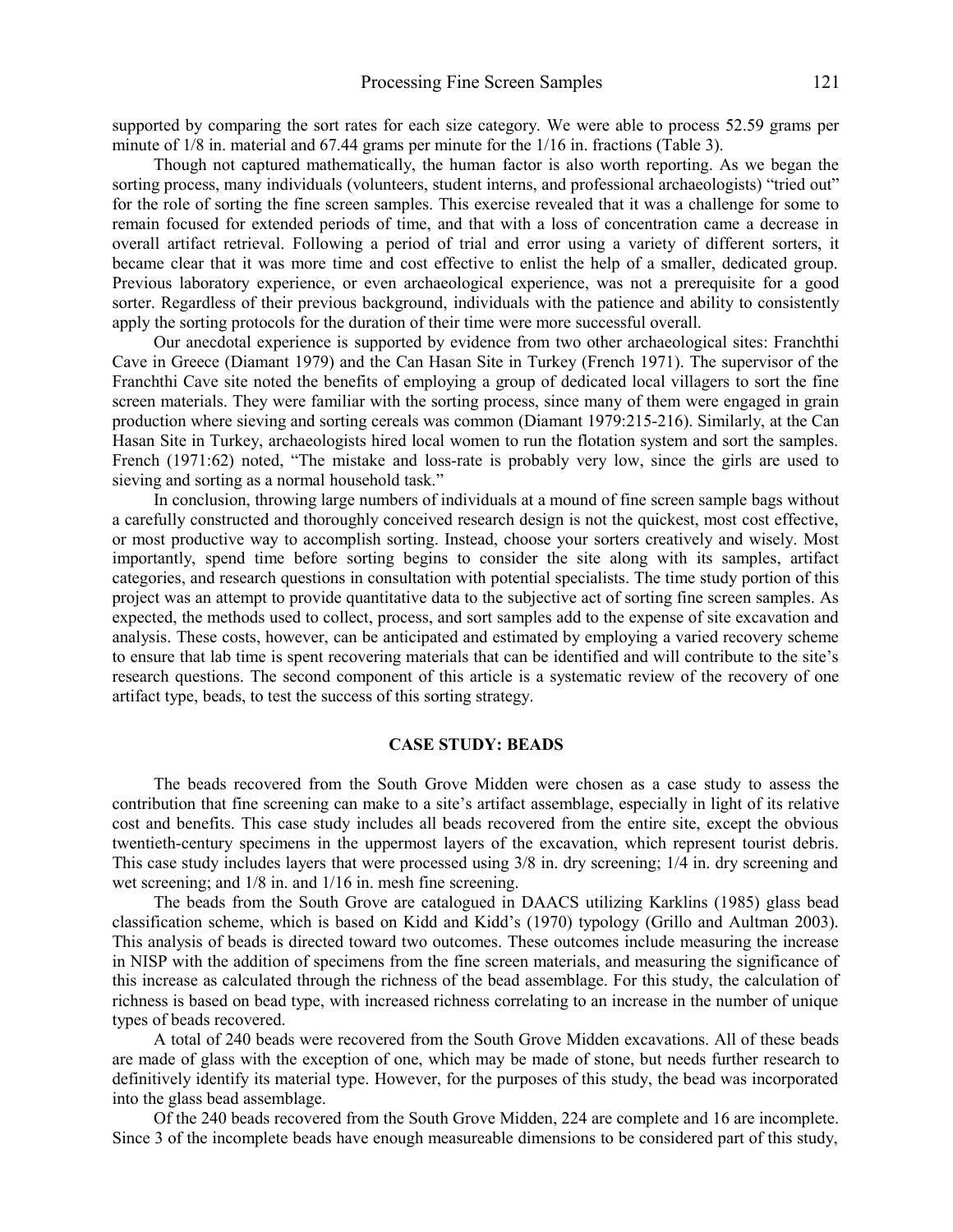supported by comparing the sort rates for each size category. We were able to process 52.59 grams per minute of 1/8 in. material and 67.44 grams per minute for the 1/16 in. fractions (Table 3).

Though not captured mathematically, the human factor is also worth reporting. As we began the sorting process, many individuals (volunteers, student interns, and professional archaeologists) "tried out" for the role of sorting the fine screen samples. This exercise revealed that it was a challenge for some to remain focused for extended periods of time, and that with a loss of concentration came a decrease in overall artifact retrieval. Following a period of trial and error using a variety of different sorters, it became clear that it was more time and cost effective to enlist the help of a smaller, dedicated group. Previous laboratory experience, or even archaeological experience, was not a prerequisite for a good sorter. Regardless of their previous background, individuals with the patience and ability to consistently apply the sorting protocols for the duration of their time were more successful overall.

Our anecdotal experience is supported by evidence from two other archaeological sites: Franchthi Cave in Greece (Diamant 1979) and the Can Hasan Site in Turkey (French 1971). The supervisor of the Franchthi Cave site noted the benefits of employing a group of dedicated local villagers to sort the fine screen materials. They were familiar with the sorting process, since many of them were engaged in grain production where sieving and sorting cereals was common (Diamant 1979:215-216). Similarly, at the Can Hasan Site in Turkey, archaeologists hired local women to run the flotation system and sort the samples. French (1971:62) noted, "The mistake and loss-rate is probably very low, since the girls are used to sieving and sorting as a normal household task."

In conclusion, throwing large numbers of individuals at a mound of fine screen sample bags without a carefully constructed and thoroughly conceived research design is not the quickest, most cost effective, or most productive way to accomplish sorting. Instead, choose your sorters creatively and wisely. Most importantly, spend time before sorting begins to consider the site along with its samples, artifact categories, and research questions in consultation with potential specialists. The time study portion of this project was an attempt to provide quantitative data to the subjective act of sorting fine screen samples. As expected, the methods used to collect, process, and sort samples add to the expense of site excavation and analysis. These costs, however, can be anticipated and estimated by employing a varied recovery scheme to ensure that lab time is spent recovering materials that can be identified and will contribute to the site's research questions. The second component of this article is a systematic review of the recovery of one artifact type, beads, to test the success of this sorting strategy.

### **CASE STUDY: BEADS**

The beads recovered from the South Grove Midden were chosen as a case study to assess the contribution that fine screening can make to a site's artifact assemblage, especially in light of its relative cost and benefits. This case study includes all beads recovered from the entire site, except the obvious twentieth-century specimens in the uppermost layers of the excavation, which represent tourist debris. This case study includes layers that were processed using 3/8 in. dry screening; 1/4 in. dry screening and wet screening; and 1/8 in. and 1/16 in. mesh fine screening.

The beads from the South Grove are catalogued in DAACS utilizing Karklins (1985) glass bead classification scheme, which is based on Kidd and Kidd's (1970) typology (Grillo and Aultman 2003). This analysis of beads is directed toward two outcomes. These outcomes include measuring the increase in NISP with the addition of specimens from the fine screen materials, and measuring the significance of this increase as calculated through the richness of the bead assemblage. For this study, the calculation of richness is based on bead type, with increased richness correlating to an increase in the number of unique types of beads recovered.

A total of 240 beads were recovered from the South Grove Midden excavations. All of these beads are made of glass with the exception of one, which may be made of stone, but needs further research to definitively identify its material type. However, for the purposes of this study, the bead was incorporated into the glass bead assemblage.

Of the 240 beads recovered from the South Grove Midden, 224 are complete and 16 are incomplete. Since 3 of the incomplete beads have enough measureable dimensions to be considered part of this study,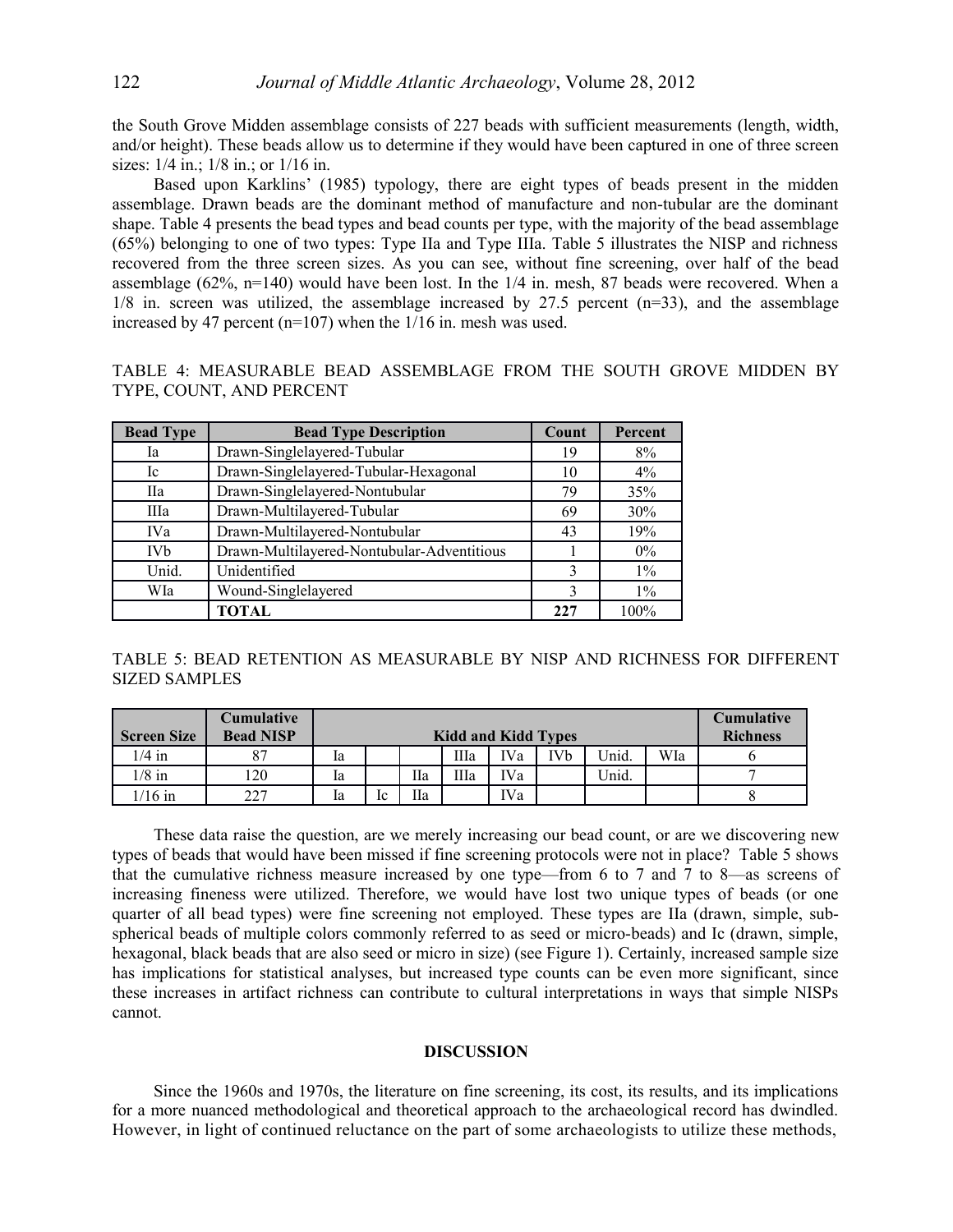the South Grove Midden assemblage consists of 227 beads with sufficient measurements (length, width, and/or height). These beads allow us to determine if they would have been captured in one of three screen sizes:  $1/4$  in.;  $1/8$  in.; or  $1/16$  in.

Based upon Karklins' (1985) typology, there are eight types of beads present in the midden assemblage. Drawn beads are the dominant method of manufacture and non-tubular are the dominant shape. Table 4 presents the bead types and bead counts per type, with the majority of the bead assemblage (65%) belonging to one of two types: Type IIa and Type IIIa. Table 5 illustrates the NISP and richness recovered from the three screen sizes. As you can see, without fine screening, over half of the bead assemblage (62%, n=140) would have been lost. In the 1/4 in. mesh, 87 beads were recovered. When a  $1/8$  in. screen was utilized, the assemblage increased by 27.5 percent ( $n=33$ ), and the assemblage increased by 47 percent (n=107) when the 1/16 in. mesh was used.

TABLE 4: MEASURABLE BEAD ASSEMBLAGE FROM THE SOUTH GROVE MIDDEN BY TYPE, COUNT, AND PERCENT

| <b>Bead Type</b> | <b>Bead Type Description</b>               | Count | Percent |
|------------------|--------------------------------------------|-------|---------|
| Ia               | Drawn-Singlelayered-Tubular                | 19    | 8%      |
| Ic               | Drawn-Singlelayered-Tubular-Hexagonal      | 10    | $4\%$   |
| <b>IIa</b>       | Drawn-Singlelayered-Nontubular             | 79    | 35%     |
| IIIa             | Drawn-Multilayered-Tubular                 | 69    | 30%     |
| IVa              | Drawn-Multilayered-Nontubular              | 43    | 19%     |
| <b>IVb</b>       | Drawn-Multilayered-Nontubular-Adventitious |       | $0\%$   |
| Unid.            | Unidentified                               | 3     | $1\%$   |
| WIa              | Wound-Singlelayered                        | 3     | $1\%$   |
|                  | TOTAL                                      | 227   | 100%    |

TABLE 5: BEAD RETENTION AS MEASURABLE BY NISP AND RICHNESS FOR DIFFERENT SIZED SAMPLES

| <b>Screen Size</b> | <b>Cumulative</b><br><b>Bead NISP</b> | <b>Kidd and Kidd Types</b> |    |    |    |            |                       | Cumulative<br><b>Richness</b> |     |  |
|--------------------|---------------------------------------|----------------------------|----|----|----|------------|-----------------------|-------------------------------|-----|--|
| $1/4$ in           | 87                                    | la                         |    |    | Шa | <b>IVa</b> | <b>IV<sub>b</sub></b> | Unid.                         | WIa |  |
| $1/8$ in           | 120                                   | 1a                         |    | Пa | Шa | IVa        |                       | Unid.                         |     |  |
| $16$ in            | 227                                   | la                         | lc | Шa |    | IVa        |                       |                               |     |  |

These data raise the question, are we merely increasing our bead count, or are we discovering new types of beads that would have been missed if fine screening protocols were not in place? Table 5 shows that the cumulative richness measure increased by one type—from 6 to 7 and 7 to 8—as screens of increasing fineness were utilized. Therefore, we would have lost two unique types of beads (or one quarter of all bead types) were fine screening not employed. These types are IIa (drawn, simple, subspherical beads of multiple colors commonly referred to as seed or micro-beads) and Ic (drawn, simple, hexagonal, black beads that are also seed or micro in size) (see Figure 1). Certainly, increased sample size has implications for statistical analyses, but increased type counts can be even more significant, since these increases in artifact richness can contribute to cultural interpretations in ways that simple NISPs cannot.

### **DISCUSSION**

Since the 1960s and 1970s, the literature on fine screening, its cost, its results, and its implications for a more nuanced methodological and theoretical approach to the archaeological record has dwindled. However, in light of continued reluctance on the part of some archaeologists to utilize these methods,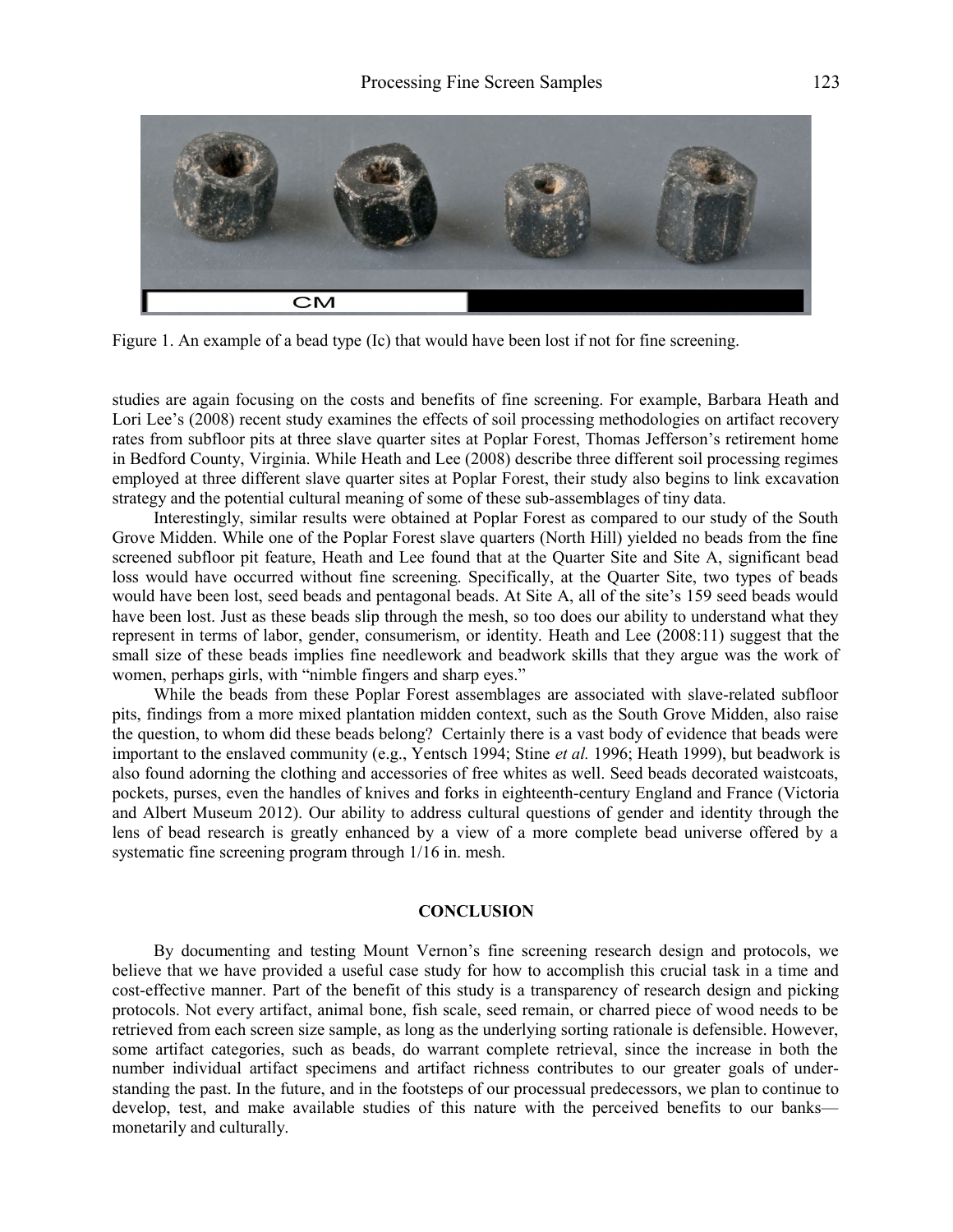

Figure 1. An example of a bead type (Ic) that would have been lost if not for fine screening.

studies are again focusing on the costs and benefits of fine screening. For example, Barbara Heath and Lori Lee's (2008) recent study examines the effects of soil processing methodologies on artifact recovery rates from subfloor pits at three slave quarter sites at Poplar Forest, Thomas Jefferson's retirement home in Bedford County, Virginia. While Heath and Lee (2008) describe three different soil processing regimes employed at three different slave quarter sites at Poplar Forest, their study also begins to link excavation strategy and the potential cultural meaning of some of these sub-assemblages of tiny data.

Interestingly, similar results were obtained at Poplar Forest as compared to our study of the South Grove Midden. While one of the Poplar Forest slave quarters (North Hill) yielded no beads from the fine screened subfloor pit feature, Heath and Lee found that at the Quarter Site and Site A, significant bead loss would have occurred without fine screening. Specifically, at the Quarter Site, two types of beads would have been lost, seed beads and pentagonal beads. At Site A, all of the site's 159 seed beads would have been lost. Just as these beads slip through the mesh, so too does our ability to understand what they represent in terms of labor, gender, consumerism, or identity. Heath and Lee (2008:11) suggest that the small size of these beads implies fine needlework and beadwork skills that they argue was the work of women, perhaps girls, with "nimble fingers and sharp eyes."

While the beads from these Poplar Forest assemblages are associated with slave-related subfloor pits, findings from a more mixed plantation midden context, such as the South Grove Midden, also raise the question, to whom did these beads belong? Certainly there is a vast body of evidence that beads were important to the enslaved community (e.g., Yentsch 1994; Stine *et al.* 1996; Heath 1999), but beadwork is also found adorning the clothing and accessories of free whites as well. Seed beads decorated waistcoats, pockets, purses, even the handles of knives and forks in eighteenth-century England and France (Victoria and Albert Museum 2012). Our ability to address cultural questions of gender and identity through the lens of bead research is greatly enhanced by a view of a more complete bead universe offered by a systematic fine screening program through 1/16 in. mesh.

#### **CONCLUSION**

By documenting and testing Mount Vernon's fine screening research design and protocols, we believe that we have provided a useful case study for how to accomplish this crucial task in a time and cost-effective manner. Part of the benefit of this study is a transparency of research design and picking protocols. Not every artifact, animal bone, fish scale, seed remain, or charred piece of wood needs to be retrieved from each screen size sample, as long as the underlying sorting rationale is defensible. However, some artifact categories, such as beads, do warrant complete retrieval, since the increase in both the number individual artifact specimens and artifact richness contributes to our greater goals of understanding the past. In the future, and in the footsteps of our processual predecessors, we plan to continue to develop, test, and make available studies of this nature with the perceived benefits to our banks monetarily and culturally.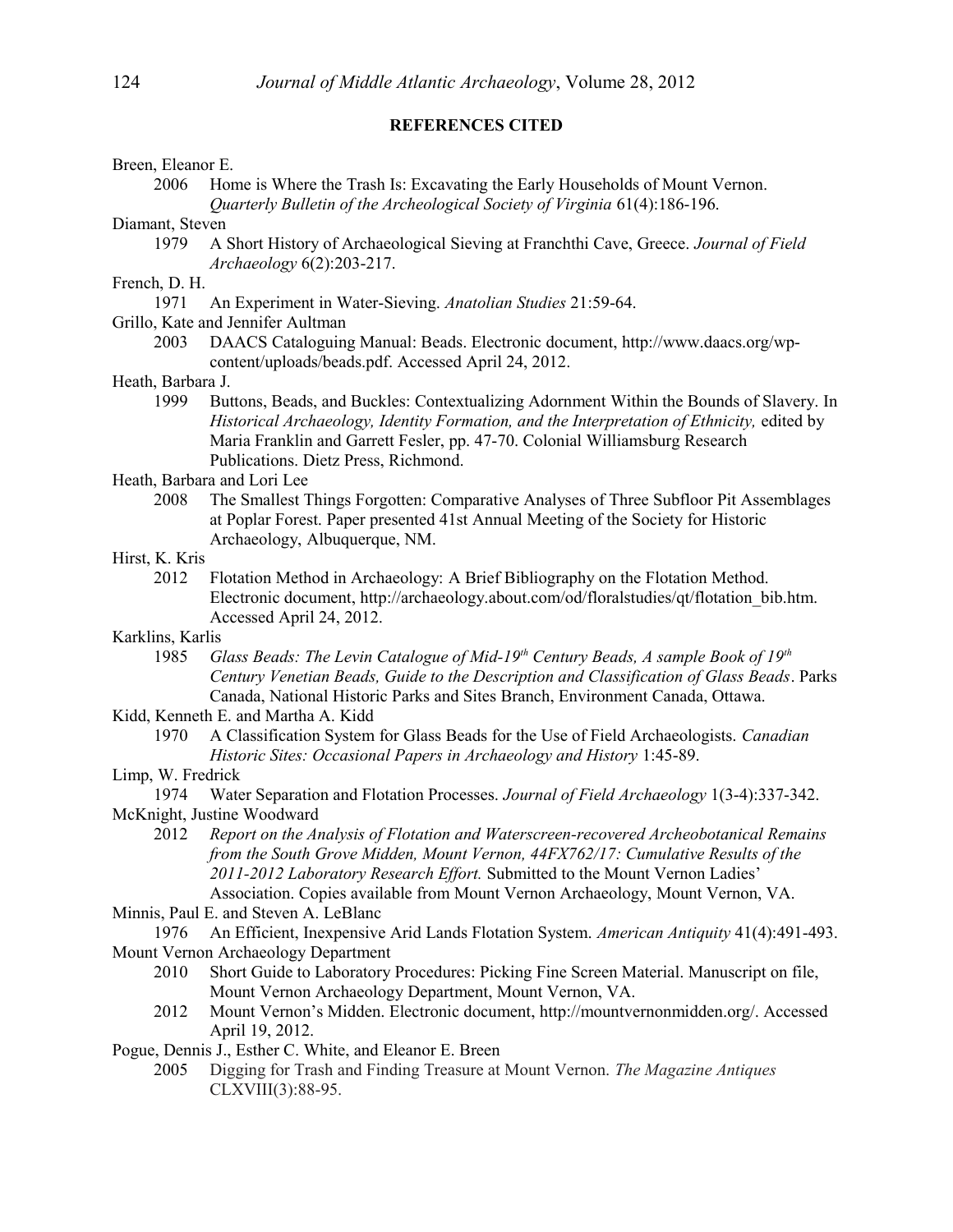## **REFERENCES CITED**

### Breen, Eleanor E.

2006 Home is Where the Trash Is: Excavating the Early Households of Mount Vernon.

*Quarterly Bulletin of the Archeological Society of Virginia* 61(4):186-196.

# Diamant, Steven

1979 A Short History of Archaeological Sieving at Franchthi Cave, Greece. *Journal of Field Archaeology* 6(2):203-217.

# French, D. H.

- 1971 An Experiment in Water-Sieving. *Anatolian Studies* 21:59-64.
- Grillo, Kate and Jennifer Aultman
	- 2003 DAACS Cataloguing Manual: Beads. Electronic document, http://www.daacs.org/wpcontent/uploads/beads.pdf. Accessed April 24, 2012.

## Heath, Barbara J.

1999 Buttons, Beads, and Buckles: Contextualizing Adornment Within the Bounds of Slavery. In *Historical Archaeology, Identity Formation, and the Interpretation of Ethnicity,* edited by Maria Franklin and Garrett Fesler, pp. 47-70. Colonial Williamsburg Research Publications. Dietz Press, Richmond.

## Heath, Barbara and Lori Lee

2008 The Smallest Things Forgotten: Comparative Analyses of Three Subfloor Pit Assemblages at Poplar Forest. Paper presented 41st Annual Meeting of the Society for Historic Archaeology, Albuquerque, NM.

## Hirst, K. Kris

2012 Flotation Method in Archaeology: A Brief Bibliography on the Flotation Method. Electronic document, http://archaeology.about.com/od/floralstudies/qt/flotation\_bib.htm. Accessed April 24, 2012.

# Karklins, Karlis

1985 *Glass Beads: The Levin Catalogue of Mid-19th Century Beads, A sample Book of 19th Century Venetian Beads, Guide to the Description and Classification of Glass Beads*. Parks Canada, National Historic Parks and Sites Branch, Environment Canada, Ottawa.

# Kidd, Kenneth E. and Martha A. Kidd

1970 A Classification System for Glass Beads for the Use of Field Archaeologists. *Canadian Historic Sites: Occasional Papers in Archaeology and History* 1:45-89.

# Limp, W. Fredrick

- 1974 Water Separation and Flotation Processes. *Journal of Field Archaeology* 1(3-4):337-342. McKnight, Justine Woodward
	- 2012 *Report on the Analysis of Flotation and Waterscreen-recovered Archeobotanical Remains from the South Grove Midden, Mount Vernon, 44FX762/17: Cumulative Results of the 2011-2012 Laboratory Research Effort.* Submitted to the Mount Vernon Ladies' Association. Copies available from Mount Vernon Archaeology, Mount Vernon, VA.

# Minnis, Paul E. and Steven A. LeBlanc

1976 An Efficient, Inexpensive Arid Lands Flotation System. *American Antiquity* 41(4):491-493. Mount Vernon Archaeology Department

- 2010 Short Guide to Laboratory Procedures: Picking Fine Screen Material. Manuscript on file, Mount Vernon Archaeology Department, Mount Vernon, VA.
- 2012 Mount Vernon's Midden. Electronic document, http://mountvernonmidden.org/. Accessed April 19, 2012.

Pogue, Dennis J., Esther C. White, and Eleanor E. Breen

2005 Digging for Trash and Finding Treasure at Mount Vernon. *The Magazine Antiques* CLXVIII(3):88-95.